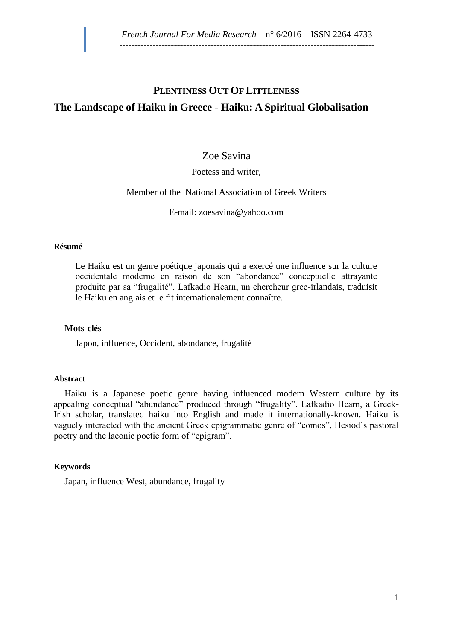# **PLENTINESS OUT OF LITTLENESS The Landscape of Haiku in Greece - Haiku: A Spiritual Globalisation**

## Zoe Savina

#### Poetess and writer,

#### Member of the National Association of Greek Writers

E-mail: [zoesavina@yahoo.com](mailto:zoesavina@yahoo.com)

#### **Résumé**

Le Haiku est un genre poétique japonais qui a exercé une influence sur la culture occidentale moderne en raison de son "abondance" conceptuelle attrayante produite par sa "frugalité". Lafkadio Hearn, un chercheur grec-irlandais, traduisit le Haiku en anglais et le fit internationalement connaître.

#### **Mots-clés**

Japon, influence, Occident, abondance, frugalité

#### **Abstract**

Haiku is a Japanese poetic genre having influenced modern Western culture by its appealing conceptual "abundance" produced through "frugality". Lafkadio Hearn, a Greek-Irish scholar, translated haiku into English and made it internationally-known. Haiku is vaguely interacted with the ancient Greek epigrammatic genre of "comos", Hesiod's pastoral poetry and the laconic poetic form of "epigram".

#### **Keywords**

Japan, influence West, abundance, frugality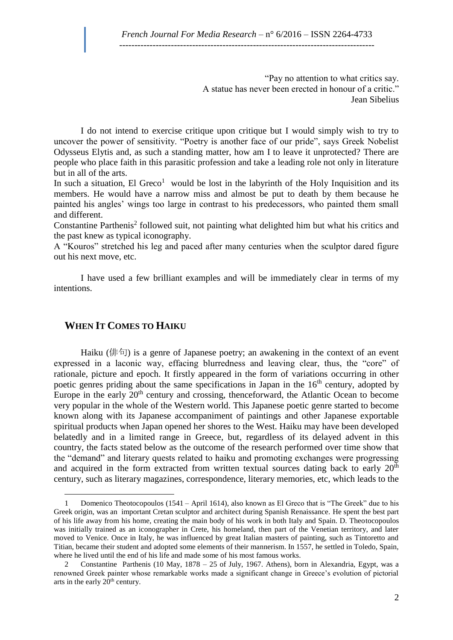"Pay no attention to what critics say. A statue has never been erected in honour of a critic." [Jean Sibelius](http://www.goodreads.com/author/show/94853.Jean_Sibelius)

I do not intend to exercise critique upon critique but I would simply wish to try to uncover the power of sensitivity. "Poetry is another face of our pride", says Greek Nobelist Odysseus Elytis and, as such a standing matter, how am I to leave it unprotected? There are people who place faith in this parasitic profession and take a leading role not only in literature but in all of the arts.

In such a situation, El Greco<sup>1</sup> would be lost in the labyrinth of the Holy Inquisition and its members. He would have a narrow miss and almost be put to death by them because he painted his angles' wings too large in contrast to his predecessors, who painted them small and different.

Constantine Parthenis<sup>2</sup> followed suit, not painting what delighted him but what his critics and the past knew as typical iconography.

A "Kouros" stretched his leg and paced after many centuries when the sculptor dared figure out his next move, etc.

I have used a few brilliant examples and will be immediately clear in terms of my intentions.

### **WHEN IT COMES TO HAIKU**

 $\overline{a}$ 

Haiku (俳句) is a genre of Japanese poetry; an awakening in the context of an event expressed in a laconic way, effacing blurredness and leaving clear, thus, the "core" of rationale, picture and epoch. It firstly appeared in the form of variations occurring in other poetic genres priding about the same specifications in Japan in the  $16<sup>th</sup>$  century, adopted by Europe in the early  $20<sup>th</sup>$  century and crossing, thenceforward, the Atlantic Ocean to become very popular in the whole of the Western world. This Japanese poetic genre started to become known along with its Japanese accompaniment of paintings and other Japanese exportable spiritual products when Japan opened her shores to the West. Haiku may have been developed belatedly and in a limited range in Greece, but, regardless of its delayed advent in this country, the facts stated below as the outcome of the research performed over time show that the "demand" and literary quests related to haiku and promoting exchanges were progressing and acquired in the form extracted from written textual sources dating back to early  $20<sup>th</sup>$ century, such as literary magazines, correspondence, literary memories, etc, which leads to the

<sup>1</sup> Domenico Theotocopoulos (1541 – April 1614), also known as El Greco that is "The Greek" due to his Greek origin, was an important Cretan sculptor and architect during Spanish Renaissance. He spent the best part of his life away from his home, creating the main body of his work in both Italy and Spain. D. Theotocopoulos was initially trained as an iconographer in Crete, his homeland, then part of the Venetian territory, and later moved to Venice. Once in Italy, he was influenced by great Italian masters of painting, such as Tintoretto and Titian, became their student and adopted some elements of their mannerism. In 1557, he settled in Toledo, Spain, where he lived until the end of his life and made some of his most famous works.

<sup>2</sup> Constantine Parthenis (10 May, 1878 – 25 of July, 1967. Athens), born in Alexandria, Egypt, was a renowned Greek painter whose remarkable works made a significant change in Greece's evolution of pictorial arts in the early  $20<sup>th</sup>$  century.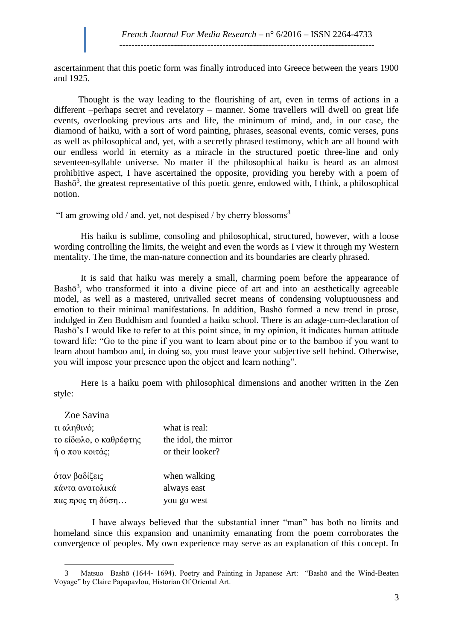ascertainment that this poetic form was finally introduced into Greece between the years 1900 and 1925.

Thought is the way leading to the flourishing of art, even in terms of actions in a different –perhaps secret and revelatory – manner. Some travellers will dwell on great life events, overlooking previous arts and life, the minimum of mind, and, in our case, the diamond of haiku, with a sort of word painting, phrases, seasonal events, comic verses, puns as well as philosophical and, yet, with a secretly phrased testimony, which are all bound with our endless world in eternity as a miracle in the structured poetic three-line and only seventeen-syllable universe. No matter if the philosophical haiku is heard as an almost prohibitive aspect, I have ascertained the opposite, providing you hereby with a poem of Bash $\bar{\sigma}^3$ , the greatest representative of this poetic genre, endowed with, I think, a philosophical notion.

"I am growing old / and, yet, not despised / by cherry blossoms $3$ 

His haiku is sublime, consoling and philosophical, structured, however, with a loose wording controlling the limits, the weight and even the words as I view it through my Western mentality. The time, the man-nature connection and its boundaries are clearly phrased.

It is said that haiku was merely a small, charming poem before the appearance of Bash $\bar{\sigma}^3$ , who transformed it into a divine piece of art and into an aesthetically agreeable model, as well as a mastered, unrivalled secret means of condensing voluptuousness and emotion to their minimal manifestations. In addition, Bashō formed a new trend in prose, indulged in [Zen Buddhism](https://www.google.gr/url?sa=t&rct=j&q=&esrc=s&source=web&cd=7&cad=rja&uact=8&ved=0CEwQFjAG&url=http%3A%2F%2Fbuddhism.about.com%2Fod%2Fchanandzenbuddhism%2Fa%2Fzen101.htm&ei=xVdtU-xjqcbJA5DGgcgG&usg=AFQjCNGGOFPpQElZJZPqxoFaU0Yvo08Tlw&sig2=rO-UuhkNZSLn8RqNcjNo8A) and founded a haiku school. There is an adage-cum-declaration of Bashō's I would like to refer to at this point since, in my opinion, it indicates human attitude toward life: "Go to the pine if you want to learn about pine or to the bamboo if you want to learn about bamboo and, in doing so, you must leave your subjective self behind. Otherwise, you will impose your presence upon the object and learn nothing".

Here is a haiku poem with philosophical dimensions and another written in the Zen style:

| Zoe Savina                        |                      |
|-----------------------------------|----------------------|
| τι αληθινό;                       | what is real:        |
| το είδωλο, ο καθρέφτης            | the idol, the mirror |
| ή ο που κοιτάς;                   | or their looker?     |
| όταν βαδίζεις                     | when walking         |
| πάντα ανατολικά                   | always east          |
| $\pi\alpha\varsigma$ προς τη δύση | you go west          |

 $\overline{a}$ 

 I have always believed that the substantial inner "man" has both no limits and homeland since this expansion and unanimity emanating from the poem corroborates the convergence of peoples. My own experience may serve as an explanation of this concept. In

<sup>3</sup> Matsuo Bashō (1644- 1694). Poetry and Painting in Japanese Art: "Bashō and the Wind-Beaten Voyage" by Claire Papapavlou, Historian Of Oriental Art.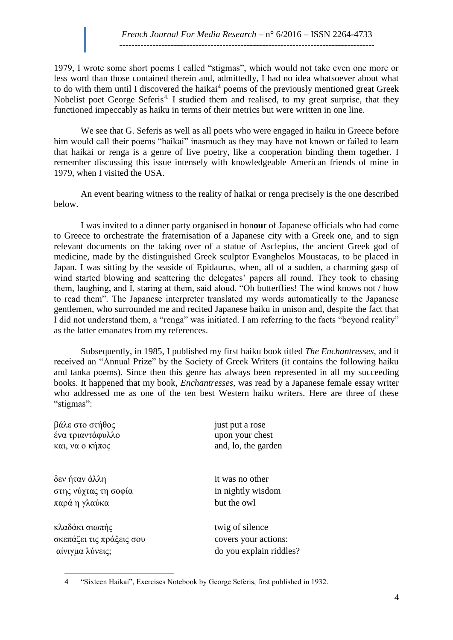1979, I wrote some short poems I called "stigmas", which would not take even one more or less word than those contained therein and, admittedly, I had no idea whatsoever about what to do with them until I discovered the haikai<sup>4</sup> poems of the previously mentioned great Greek Nobelist poet George Seferis<sup>4.</sup> I studied them and realised, to my great surprise, that they functioned impeccably as haiku in terms of their metrics but were written in one line.

We see that G. Seferis as well as all poets who were engaged in haiku in Greece before him would call their poems "haikai" inasmuch as they may have not known or failed to learn that haikai or renga is a genre of live poetry, like a cooperation binding them together. I remember discussing this issue intensely with knowledgeable American friends of mine in 1979, when I visited the USA.

An event bearing witness to the reality of haikai or renga precisely is the one described below.

I was invited to a dinner party organi**s**ed in hon**ou**r of Japanese officials who had come to Greece to orchestrate the fraternisation of a Japanese city with a Greek one, and to sign relevant documents on the taking over of a statue of Asclepius, the ancient Greek god of medicine, made by the distinguished Greek sculptor Evanghelos Moustacas, to be placed in Japan. I was sitting by the seaside of Epidaurus, when, all of a sudden, a charming gasp of wind started blowing and scattering the delegates' papers all round. They took to chasing them, laughing, and I, staring at them, said aloud, "Oh butterflies! The wind knows not / how to read them". The Japanese interpreter translated my words automatically to the Japanese gentlemen, who surrounded me and recited Japanese haiku in unison and, despite the fact that I did not understand them, a "renga" was initiated. Ι am referring to the facts "beyond reality" as the latter emanates from my references.

Subsequently, in 1985, I published my first haiku book titled *The Enchantresses*, and it received an "Annual Prize" by the Society of Greek Writers (it contains the following haiku and tanka poems). Since then this genre has always been represented in all my succeeding books. It happened that my book, *Enchantresses,* was read by a Japanese female essay writer who addressed me as one of the ten best Western haiku writers. Here are three of these "stigmas":

| βάλε στο στήθος          | just put a rose         |
|--------------------------|-------------------------|
| ένα τριαντάφυλλο         | upon your chest         |
| και, να ο κήπος          | and, lo, the garden     |
| δεν ήταν άλλη            | it was no other         |
| στης νύχτας τη σοφία     | in nightly wisdom       |
| παρά η γλαύκα            | but the owl             |
| κλαδάκι σιωπής           | twig of silence         |
| σκεπάζει τις πράξεις σου | covers your actions:    |
| αίνιγμα λύνεις;          | do you explain riddles? |

 $\overline{a}$ 4 "Sixteen Haikai", Exercises Notebook by George Seferis, first published in 1932.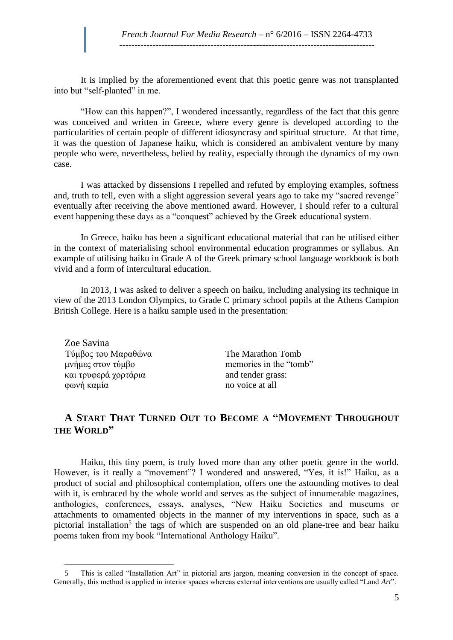It is implied by the aforementioned event that this poetic genre was not transplanted into but "self-planted" in me.

"How can this happen?", I wondered incessantly, regardless of the fact that this genre was conceived and written in Greece, where every genre is developed according to the particularities of certain people of different idiosyncrasy and spiritual structure. At that time, it was the question of Japanese haiku, which is considered an ambivalent venture by many people who were, nevertheless, belied by reality, especially through the dynamics of my own case.

I was attacked by dissensions I repelled and refuted by employing examples, softness and, truth to tell, even with a slight aggression several years ago to take my "sacred revenge" eventually after receiving the above mentioned award. However, I should refer to a cultural event happening these days as a "conquest" achieved by the Greek educational system.

In Greece, haiku has been a significant educational material that can be utilised either in the context of materialising school environmental education programmes or syllabus. An example of utilising haiku in Grade A of the Greek primary school language workbook is both vivid and a form of intercultural education.

In 2013, I was asked to deliver a speech on haiku, including analysing its technique in view of the 2013 London Olympics, to Grade C primary school pupils at the Athens Campion British College. Here is a haiku sample used in the presentation:

Zoe Savina Tύμβος του Μαραθώνα The Marathon Tomb<br>
μνήμες στον τύμβο<br>
The Marathon Tomb<br>
memories in the "tom και τρυφερά χορτάρια and tender grass: φωνή καμία no voice at all

 $\overline{a}$ 

memories in the "tomb"

### **A START THAT TURNED OUT TO BECOME A "MOVEMENT THROUGHOUT THE WORLD"**

Haiku, this tiny poem, is truly loved more than any other poetic genre in the world. However, is it really a "movement"? I wondered and answered, "Yes, it is!" Haiku, as a product of social and philosophical contemplation, offers one the astounding motives to deal with it, is embraced by the whole world and serves as the subject of innumerable magazines, anthologies, conferences, essays, analyses, "New Haiku Societies and museums or attachments to ornamented objects in the manner of my interventions in space, such as a pictorial installation<sup>5</sup> the tags of which are suspended on an old plane-tree and bear haiku poems taken from my book "International Anthology Haiku".

<sup>5</sup> This is called "Installation Art" in pictorial arts jargon, meaning conversion in the concept of space. Generally, this method is applied in interior spaces whereas external interventions are usually called "Land *Art*".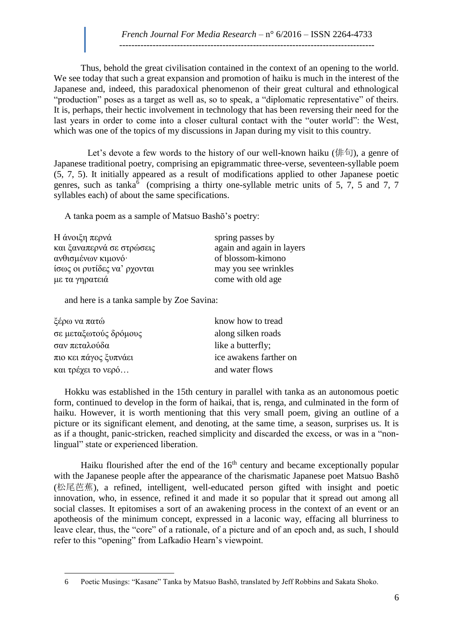Thus, behold the great civilisation contained in the context of an opening to the world. We see today that such a great expansion and promotion of haiku is much in the interest of the Japanese and, indeed, this paradoxical phenomenon of their great cultural and ethnological "production" poses as a target as well as, so to speak, a "diplomatic representative" of theirs. It is, perhaps, their hectic involvement in technology that has been reversing their need for the last years in order to come into a closer cultural contact with the "outer world": the West, which was one of the topics of my discussions in Japan during my visit to this country.

Let's devote a few words to the history of our well-known haiku (俳句), a genre of Japanese traditional poetry, comprising an epigrammatic three-verse, seventeen-syllable poem (5, 7, 5). It initially appeared as a result of modifications applied to other Japanese poetic genres, such as tanka<sup>6</sup> (comprising a thirty one-syllable metric units of 5, 7, 5 and 7, 7 syllables each) of about the same specifications.

A tanka poem as a sample of Matsuo Bashō's poetry:

Η άνοιξη περνά spring passes by και ξαναπερνά σε στρώσεις again and again in layers ανθισμένων κιμονό· of blossom-kimono ίσως οι ρυτίδες να' ρχονται may you see wrinkles  $\mu \varepsilon$  τα γηρατειά come with old age

and here is a tanka sample by Zoe Savina:

| ξέρω να πατώ          | know how to tread      |
|-----------------------|------------------------|
| σε μεταξωτούς δρόμους | along silken roads     |
| σαν πεταλούδα         | like a butterfly;      |
| πιο κει πάγος ξυπνάει | ice awakens farther on |
| και τρέχει το νερό    | and water flows        |

Hokku was established in the 15th century in parallel with tanka as an autonomous poetic form, continued to develop in the form of haikai, that is, renga, and culminated in the form of haiku. However, it is worth mentioning that this very small poem, giving an outline of a picture or its significant element, and denoting, at the same time, a season, surprises us. It is as if a thought, panic-stricken, reached simplicity and discarded the excess, or was in a "nonlingual" state or experienced liberation.

Haiku flourished after the end of the 16<sup>th</sup> century and became exceptionally popular with the Japanese people after the appearance of the charismatic Japanese poet [Matsuo Bashō](https://www.google.gr/url?sa=t&rct=j&q=&esrc=s&source=web&cd=2&cad=rja&uact=8&ved=0CDYQFjAB&url=http%3A%2F%2Fen.wikipedia.org%2Fwiki%2FMatsuo_Bash%25C5%258D&ei=0FJtU8aYFKPzygODjoD4BQ&usg=AFQjCNHRkLFC5AbqBowP4nvOC8MgkmBqDQ&sig2=ll145tPA_LpbuIS41LfAvQ) (松尾芭蕉), a refined, intelligent, well-educated person gifted with insight and poetic innovation, who, in essence, refined it and made it so popular that it spread out among all social classes. It epitomises a sort of an awakening process in the context of an event or an apotheosis of the minimum concept, expressed in a laconic way, effacing all blurriness to leave clear, thus, the "core" of a rationale, of a picture and of an epoch and, as such, I should refer to this "opening" from Lafkadio Hearn's viewpoint.

 $\overline{a}$ 6 Poetic Musings: "Kasane" Tanka by Matsuo Bashō, translated by Jeff Robbins and Sakata Shoko.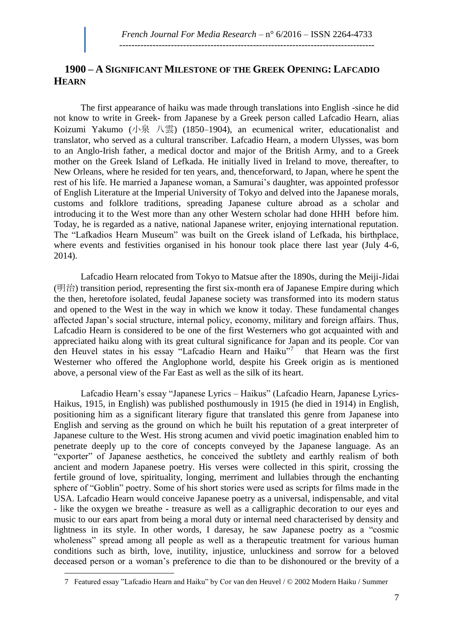## **1900 – A SIGNIFICANT MILESTONE OF THE GREEK OPENING: LAFCADIO HEARN**

The first appearance of haiku was made through translations into English -since he did not know to write in Greek- from Japanese by a Greek person called Lafcadio Hearn, alias Koizumi Yakumo (小泉 八雲) (1850–1904), an ecumenical writer, educationalist and translator, who served as a cultural transcriber. Lafcadio Hearn, a modern Ulysses, was born to an Anglo-Irish father, a medical doctor and major of the British Army, and to a Greek mother on the Greek Island of Lefkada. He initially lived in Ireland to move, thereafter, to New Orleans, where he resided for ten years, and, thenceforward, to Japan, where he spent the rest of his life. He married a Japanese woman, a Samurai's daughter, was appointed professor of English Literature at the Imperial University of Tokyo and delved into the Japanese morals, customs and folklore traditions, spreading Japanese culture abroad as a scholar and introducing it to the West more than any other Western scholar had done HHH before him. Today, he is regarded as a native, national Japanese writer, enjoying international reputation. The "Lafkadios Hearn Museum" was built on the Greek island of Lefkada, his birthplace, where events and festivities organised in his honour took place there last year (July 4-6, 2014).

Lafcadio Hearn relocated from Tokyo to Matsue after the 1890s, during the Meiji-Jidai (明治) transition period, representing the first six-month era of Japanese Empire during which the then, heretofore isolated, feudal Japanese society was transformed into its modern status and opened to the West in the way in which we know it today. These fundamental changes affected Japan's social structure, internal policy, economy, military and foreign affairs. Thus, Lafcadio Hearn is considered to be one of the first Westerners who got acquainted with and appreciated haiku along with its great cultural significance for Japan and its people. Cor van den Heuvel states in his essay "Lafcadio Hearn and Haiku"<sup>7</sup> that Hearn was the first Westerner who offered the Anglophone world, despite his Greek origin as is mentioned above, a personal view of the Far East as well as the silk of its heart.

Lafcadio Hearn's essay "Japanese Lyrics – Haikus" (Lafcadio Hearn, Japanese Lyrics-Haikus, 1915, in English) was published posthumously in 1915 (he died in 1914) in English, positioning him as a significant literary figure that translated this genre from Japanese into English and serving as the ground on which he built his reputation of a great interpreter of Japanese culture to the West. His strong acumen and vivid poetic imagination enabled him to penetrate deeply up to the core of concepts conveyed by the Japanese language. As an "exporter" of Japanese aesthetics, he conceived the subtlety and earthly realism of both ancient and modern Japanese poetry. His verses were collected in this spirit, crossing the fertile ground of love, spirituality, longing, merriment and lullabies through the enchanting sphere of "Goblin" poetry. Some of his short stories were used as scripts for films made in the USA. Lafcadio Hearn would conceive Japanese poetry as a universal, indispensable, and vital - like the oxygen we breathe - treasure as well as a calligraphic decoration to our eyes and music to our ears apart from being a moral duty or internal need characterised by density and lightness in its style. In other words, I daresay, he saw Japanese poetry as a "cosmic wholeness" spread among all people as well as a therapeutic treatment for various human conditions such as birth, love, inutility, injustice, unluckiness and sorrow for a beloved deceased person or a woman's preference to die than to be dishonoured or the brevity of a

 $\overline{a}$ 

<sup>7</sup> Featured essay "Lafcadio Hearn and Haiku" by Cor van den Heuvel / © 2002 Modern Haiku / Summer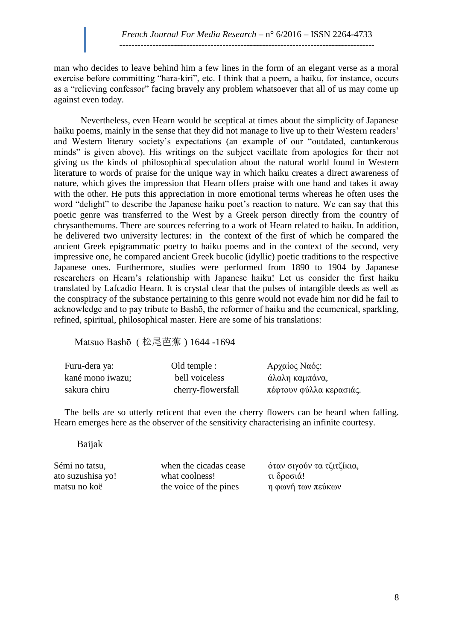man who decides to leave behind him a few lines in the form of an elegant verse as a moral exercise before committing "hara-kiri", etc. I think that a poem, a haiku, for instance, occurs as a "relieving confessor" facing bravely any problem whatsoever that all of us may come up against even today.

Nevertheless, even Hearn would be sceptical at times about the simplicity of Japanese haiku poems, mainly in the sense that they did not manage to live up to their Western readers' and Western literary society's expectations (an example of our "outdated, cantankerous minds" is given above). His writings on the subject vacillate from apologies for their not giving us the kinds of philosophical speculation about the natural world found in Western literature to words of praise for the unique way in which haiku creates a direct awareness of nature, which gives the impression that Hearn offers praise with one hand and takes it away with the other. He puts this appreciation in more emotional terms whereas he often uses the word "delight" to describe the Japanese haiku poet's reaction to nature. We can say that this poetic genre was transferred to the West by a Greek person directly from the country of chrysanthemums. There are sources referring to a work of Hearn related to haiku. In addition, he delivered two university lectures: in the context of the first of which he compared the ancient Greek epigrammatic poetry to haiku poems and in the context of the second, very impressive one, he compared ancient Greek bucolic (idyllic) poetic traditions to the respective Japanese ones. Furthermore, studies were performed from 1890 to 1904 by Japanese researchers on Hearn's relationship with Japanese haiku! Let us consider the first haiku translated by Lafcadio Hearn. It is crystal clear that the pulses of intangible deeds as well as the conspiracy of the substance pertaining to this genre would not evade him nor did he fail to acknowledge and to pay tribute to Bashō, the reformer of haiku and the ecumenical, sparkling, refined, spiritual, philosophical master. Here are some of his translations:

Matsuo Bashō ( 松尾芭蕉 ) 1644 -1694

| Furu-dera ya:    | Old temple :       | Αρχαίος Ναός:           |
|------------------|--------------------|-------------------------|
| kané mono iwazu; | bell voiceless     | άλαλη καμπάνα,          |
| sakura chiru     | cherry-flowersfall | πέφτουν φύλλα κερασιάς. |

The bells are so utterly reticent that even the cherry flowers can be heard when falling. Hearn emerges here as the observer of the sensitivity characterising an infinite courtesy.

#### Baijak

ato suzushisa yo! what coolness! τι δροσιά! matsu no koë the voice of the pines η φωνή των πεύκων

Sémi no tatsu, when the cicadas cease όταν σιγούν τα τζιτζίκια,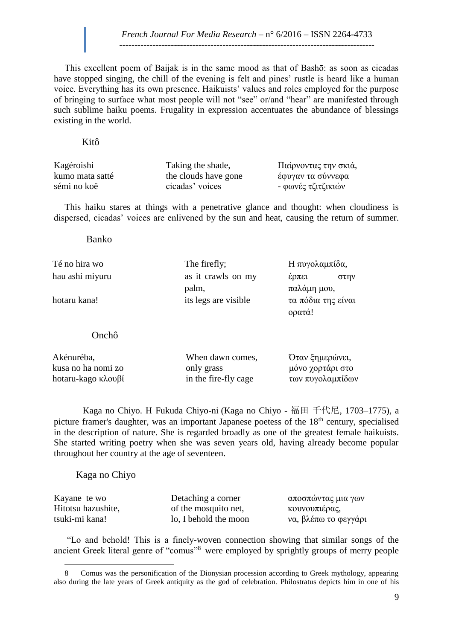This excellent poem of Baijak is in the same mood as that of Bashō: as soon as cicadas have stopped singing, the chill of the evening is felt and pines' rustle is heard like a human voice. Everything has its own presence. Haikuists' values and roles employed for the purpose of bringing to surface what most people will not "see" or/and "hear" are manifested through such sublime haiku poems. Frugality in expression accentuates the abundance of blessings existing in the world.

Kitô

| Kagéroishi      | Taking the shade,    | Παίρνοντας την σκιά, |
|-----------------|----------------------|----------------------|
| kumo mata satté | the clouds have gone | έφυγαν τα σύννεφα    |
| sémi no koë     | cicadas' voices      | - φωνές τζιτζικιών   |

This haiku stares at things with a penetrative glance and thought: when cloudiness is dispersed, cicadas' voices are enlivened by the sun and heat, causing the return of summer.

> έρπει στην παλάμη μου,

ορατά!

Banko

Té no hira wo The firefly; H πυγολαμπίδα, hau ashi miyuru as it crawls on my

hotaru kana! its legs are visible τα πόδια της είναι

Onchô

| Akénuréba,         | When dawn comes,     | Όταν ξημερώνει,  |
|--------------------|----------------------|------------------|
| kusa no ha nomi zo | only grass           | μόνο χορτάρι στο |
| hotaru-kago κλουβί | in the fire-fly cage | των πυγολαμπίδων |

palm,

 Kaga no Chiyo. Η Fukuda Chiyo-ni (Kaga no Chiyo - 福田 千代尼, 1703–1775), a picture framer's daughter, was an important Japanese poetess of the  $18<sup>th</sup>$  century, specialised in the description of nature. She is regarded broadly as one of the greatest female haikuists. She started writing poetry when she was seven years old, having already become popular throughout her country at the age of seventeen.

Kaga no Chiyo

 $\overline{a}$ 

| Kayane te wo       | Detaching a corner    | αποσπώντας μια γων   |
|--------------------|-----------------------|----------------------|
| Hitotsu hazushite, | of the mosquito net,  | κουνουπιέρας,        |
| tsuki-mi kana!     | lo, I behold the moon | να, βλέπω το φεγγάρι |

"Lo and behold! This is a finely-woven connection showing that similar songs of the ancient Greek literal genre of "comus"<sup>8</sup> were employed by sprightly groups of merry people

<sup>8</sup> Comus was the personification of the Dionysian procession according to Greek mythology, appearing also during the late years of Greek antiquity as the god of celebration. Philostratus depicts him in one of his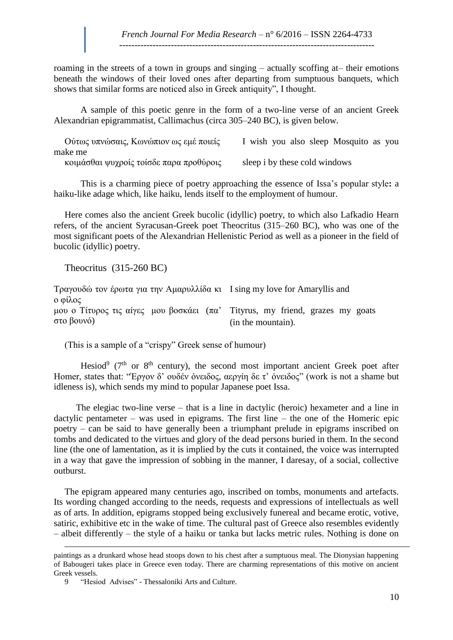roaming in the streets of a town in groups and singing – actually scoffing at– their emotions beneath the windows of their loved ones after departing from sumptuous banquets, which shows that similar forms are noticed also in Greek antiquity", I thought.

 A sample of this poetic genre in the form of a two-line verse of an ancient Greek Alexandrian epigrammatist, Callimachus (circa 305–240 BC), is given below.

| Ούτως υπνώσαις, Κωνώπιον ως εμέ ποιείς  | I wish you also sleep Mosquito as you |
|-----------------------------------------|---------------------------------------|
| make me                                 |                                       |
| κοιμάσθαι ψυχροίς τοίσδε παρα προθύροις | sleep i by these cold windows         |

 This is a charming piece of poetry approaching the essence of Issa's popular style**:** a haiku-like adage which, like haiku, lends itself to the employment of humour.

Here comes also the ancient Greek bucolic (idyllic) poetry, to which also Lafkadio Hearn refers, of the ancient Syracusan-Greek poet Theocritus (315–260 BC), who was one of the most significant poets of the Alexandrian Hellenistic Period as well as a pioneer in the field of bucolic (idyllic) poetry.

Theocritus (315-260 BC)

Tραγουδώ τον έρωτα για την Αμαρυλλίδα κι I sing my love for Amaryllis and ο φίλος μου ο Τίτυρος τις αίγες μου βοσκάει (πα' Tityrus, my friend, grazes my goats στο βουνό) (in the mountain).

(This is a sample of a "crispy" Greek sense of humour)

Hesiod<sup>9</sup> ( $7<sup>th</sup>$  or  $8<sup>th</sup>$  century), the second most important ancient Greek poet after Homer, states that: "Έργον δ' ουδέν όνειδος, αεργίη δε τ' όνειδος" (work is not a shame but idleness is), which sends my mind to popular Japanese poet Issa.

 The elegiac two-line verse – that is a line in dactylic (heroic) hexameter and a line in dactylic pentameter – was used in epigrams. The first line – the one of the Homeric epic poetry – can be said to have generally been a triumphant prelude in epigrams inscribed on tombs and dedicated to the virtues and glory of the dead persons buried in them. In the second line (the one of lamentation, as it is implied by the cuts it contained, the voice was interrupted in a way that gave the impression of sobbing in the manner, I daresay, of a social, collective outburst.

The epigram appeared many centuries ago, inscribed on tombs, monuments and artefacts. Its wording changed according to the needs, requests and expressions of intellectuals as well as of arts. In addition, epigrams stopped being exclusively funereal and became erotic, votive, satiric, exhibitive etc in the wake of time. The cultural past of Greece also resembles evidently – albeit differently – the style of a haiku or tanka but lacks metric rules. Nothing is done on

 $\overline{a}$ 

paintings as a drunkard whose head stoops down to his chest after a sumptuous meal. The Dionysian happening of Babougeri takes place in Greece even today. There are charming representations of this motive on ancient Greek vessels.

<sup>9</sup> "Hesiod Advises" - Thessaloniki Arts and Culture.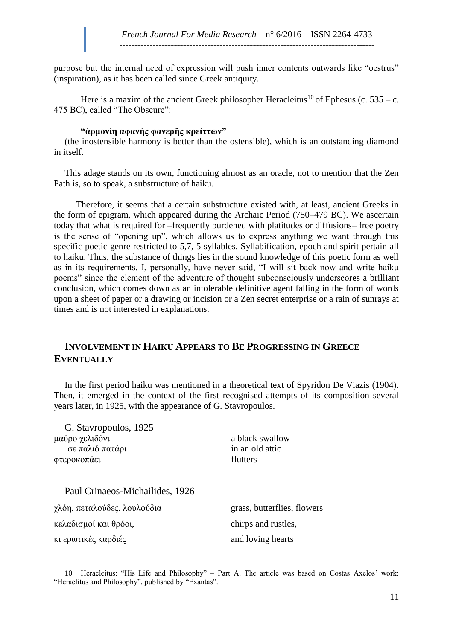purpose but the internal need of expression will push inner contents outwards like "oestrus" (inspiration), as it has been called since Greek antiquity.

Here is a maxim of the ancient Greek philosopher Heracleitus<sup>10</sup> of Ephesus (c. 535 – c. 475 BC), called "The Obscure":

### **"ἁρμονίη αφανής φανερῆς κρείττων"**

(the inostensible harmony is better than the ostensible), which is an outstanding diamond in itself.

This adage stands on its own, functioning almost as an oracle, not to mention that the Zen Path is, so to speak, a substructure of haiku.

 Therefore, it seems that a certain substructure existed with, at least, ancient Greeks in the form of epigram, which appeared during the Archaic Period (750–479 BC). We ascertain today that what is required for –frequently burdened with platitudes or diffusions– free poetry is the sense of "opening up", which allows us to express anything we want through this specific poetic genre restricted to 5,7, 5 syllables. Syllabification, epoch and spirit pertain all to haiku. Thus, the substance of things lies in the sound knowledge of this poetic form as well as in its requirements. I, personally, have never said, "I will sit back now and write haiku poems" since the element of the adventure of thought subconsciously underscores a brilliant conclusion, which comes down as an intolerable definitive agent falling in the form of words upon a sheet of paper or a drawing or incision or a Zen secret enterprise or a rain of sunrays at times and is not interested in explanations.

## **INVOLVEMENT IN HAIKU APPEARS TO BE PROGRESSING IN GREECE EVENTUALLY**

In the first period haiku was mentioned in a theoretical text of Spyridon De Viazis (1904). Then, it emerged in the context of the first recognised attempts of its composition several years later, in 1925, with the appearance of G. Stavropoulos.

| G. Stavropoulos, 1925           |                             |
|---------------------------------|-----------------------------|
| μαύρο χελιδόνι                  | a black swallow             |
| σε παλιό πατάρι                 | in an old attic             |
| φτεροκοπάει                     | flutters                    |
| Paul Crinaeos-Michailides, 1926 |                             |
| χλόη, πεταλούδες, λουλούδια     | grass, butterflies, flowers |
| κελαδισμοί και θρόοι,           | chirps and rustles,         |
| κι ερωτικές καρδιές             | and loving hearts           |

 $\overline{a}$ 10 Heracleitus: "His Life and Philosophy" – Part A. The article was based on Costas Axelos' work: "Heraclitus and Philosophy", published by "Exantas".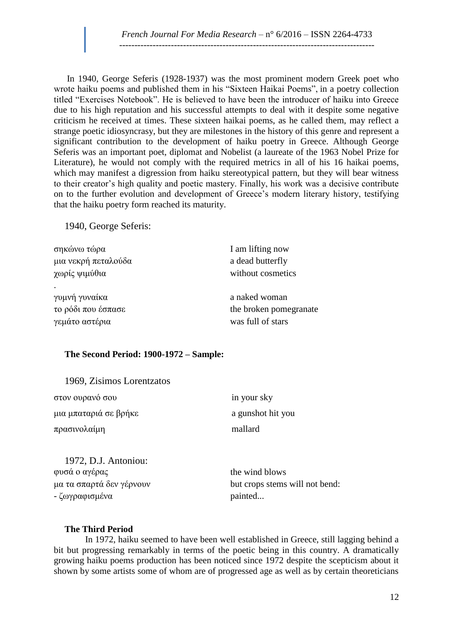In 1940, George Seferis (1928-1937) was the most prominent modern Greek poet who wrote haiku poems and published them in his "Sixteen Haikai Poems", in a poetry collection titled "Exercises Notebook". He is believed to have been the introducer of haiku into Greece due to his high reputation and his successful attempts to deal with it despite some negative criticism he received at times. These sixteen haikai poems, as he called them, may reflect a strange poetic idiosyncrasy, but they are milestones in the history of this genre and represent a significant contribution to the development of haiku poetry in Greece. Although George Seferis was an important poet, diplomat and Nobelist (a laureate of the 1963 Nobel Prize for Literature), he would not comply with the required metrics in all of his 16 haikai poems, which may manifest a digression from haiku stereotypical pattern, but they will bear witness to their creator's high quality and poetic mastery. Finally, his work was a decisive contribute on to the further evolution and development of Greece's modern literary history, testifying that the haiku poetry form reached its maturity.

1940, George Seferis:

| σηκώνω τώρα         | I am lifting now       |
|---------------------|------------------------|
| μια νεκρή πεταλούδα | a dead butterfly       |
| χωρίς ψιμύθια       | without cosmetics      |
|                     |                        |
| γυμνή γυναίκα       | a naked woman          |
| το ρόδι που έσπασε  | the broken pomegranate |
| γεμάτο αστέρια      | was full of stars      |
|                     |                        |

### **The Second Period: 1900-1972 – Sample:**

1969, Zisimos Lorentzatos

| στον ουρανό σου          | in your sky                    |
|--------------------------|--------------------------------|
| μια μπαταριά σε βρήκε    | a gunshot hit you              |
| πρασινολαίμη             | mallard                        |
|                          |                                |
| 1972, D.J. Antoniou:     |                                |
| φυσά ο αγέρας            | the wind blows                 |
| μα τα σπαρτά δεν γέρνουν | but crops stems will not bend: |
| - ζωγραφισμένα           | painted                        |

#### **The Third Period**

 In 1972, haiku seemed to have been well established in Greece, still lagging behind a bit but progressing remarkably in terms of the poetic being in this country. A dramatically growing haiku poems production has been noticed since 1972 despite the scepticism about it shown by some artists some of whom are of progressed age as well as by certain theoreticians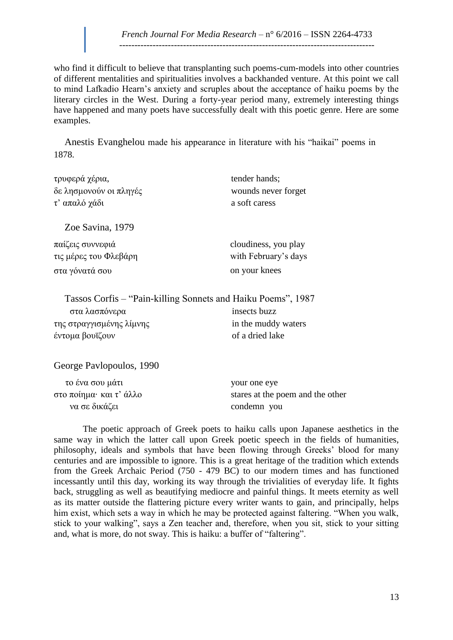who find it difficult to believe that transplanting such poems-cum-models into other countries of different mentalities and spiritualities involves a backhanded venture. At this point we call to mind Lafkadio Hearn's anxiety and scruples about the acceptance of haiku poems by the literary circles in the West. During a forty-year period many, extremely interesting things have happened and many poets have successfully dealt with this poetic genre. Here are some examples.

Anestis Evanghelou made his appearance in literature with his "haikai" poems in 1878.

| τρυφερά χέρια,         | tender hands;        |
|------------------------|----------------------|
| δε λησμονούν οι πληγές | wounds never forget  |
| τ' απαλό χάδι          | a soft caress        |
| Zoe Savina, 1979       |                      |
| παίζεις συννεφιά       | cloudiness, you play |
| τις μέρες του Φλεβάρη  | with February's days |
| στα γόνατά σου         | on your knees        |

|                          | Tassos Corfis – "Pain-killing Sonnets and Haiku Poems", 1987 |
|--------------------------|--------------------------------------------------------------|
| στα λασπόνερα            | insects buzz                                                 |
| της στραγγισμένης λίμνης | in the muddy waters                                          |
| έντομα βουϊζουν          | of a dried lake                                              |

George Pavlopoulos, 1990

| το ένα σου μάτι         | your one eye                     |
|-------------------------|----------------------------------|
| στο ποίημα· και τ' άλλο | stares at the poem and the other |
| να σε δικάζει           | condemn you                      |

 The poetic approach of Greek poets to haiku calls upon Japanese aesthetics in the same way in which the latter call upon Greek poetic speech in the fields of humanities, philosophy, ideals and symbols that have been flowing through Greeks' blood for many centuries and are impossible to ignore. This is a great heritage of the tradition which extends from the Greek Archaic Period (750 - 479 BC) to our modern times and has functioned incessantly until this day, working its way through the trivialities of everyday life. It fights back, struggling as well as beautifying mediocre and painful things. It meets eternity as well as its matter outside the flattering picture every writer wants to gain, and principally, helps him exist, which sets a way in which he may be protected against faltering. "When you walk, stick to your walking", says a Zen teacher and, therefore, when you sit, stick to your sitting and, what is more, do not sway. This is haiku: a buffer of "faltering".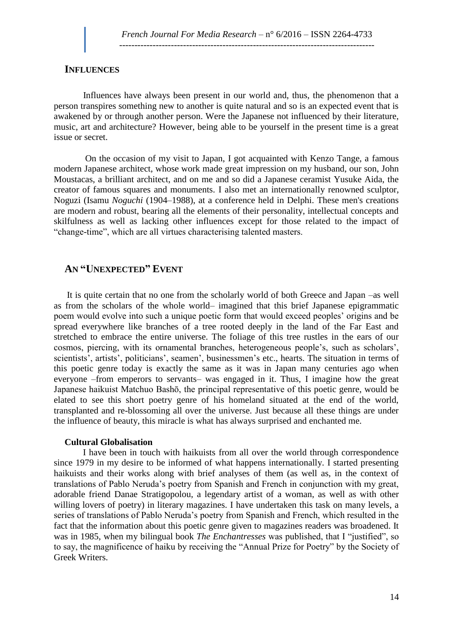#### **INFLUENCES**

Influences have always been present in our world and, thus, the phenomenon that a person transpires something new to another is quite natural and so is an expected event that is awakened by or through another person. Were the Japanese not influenced by their literature, music, art and architecture? However, being able to be yourself in the present time is a great issue or secret.

 On the occasion of my visit to Japan, I got acquainted with Kenzo Tange, a famous modern Japanese architect, whose work made great impression on my husband, our son, John Moustacas, a brilliant architect, and on me and so did a Japanese ceramist Yusuke Aida, the creator of famous squares and monuments. I also met an internationally renowned sculptor, Noguzi (Isamu *Noguchi* (1904–1988), at a conference held in Delphi. These men's creations are modern and robust, bearing all the elements of their personality, intellectual concepts and skilfulness as well as lacking other influences except for those related to the impact of "change-time", which are all virtues characterising talented masters.

### **AN "UNEXPECTED" EVENT**

It is quite certain that no one from the scholarly world of both Greece and Japan –as well as from the scholars of the whole world– imagined that this brief Japanese epigrammatic poem would evolve into such a unique poetic form that would exceed peoples' origins and be spread everywhere like branches of a tree rooted deeply in the land of the Far East and stretched to embrace the entire universe. The foliage of this tree rustles in the ears of our cosmos, piercing, with its ornamental branches, heterogeneous people's, such as scholars', scientists', artists', politicians', seamen', businessmen's etc., hearts. The situation in terms of this poetic genre today is exactly the same as it was in Japan many centuries ago when everyone –from emperors to servants– was engaged in it. Thus, I imagine how the great Japanese haikuist Matchuo Bashō, the principal representative of this poetic genre, would be elated to see this short poetry genre of his homeland situated at the end of the world, transplanted and re-blossoming all over the universe. Just because all these things are under the influence of beauty, this miracle is what has always surprised and enchanted me.

#### **Cultural Globalisation**

 I have been in touch with haikuists from all over the world through correspondence since 1979 in my desire to be informed of what happens internationally. I started presenting haikuists and their works along with brief analyses of them (as well as, in the context of translations of Pablo Neruda's poetry from Spanish and French in conjunction with my great, adorable friend Danae Stratigopolou, a legendary artist of a woman, as well as with other willing lovers of poetry) in literary magazines. I have undertaken this task on many levels, a series of translations of Pablo Neruda's poetry from Spanish and French, which resulted in the fact that the information about this poetic genre given to magazines readers was broadened. It was in 1985, when my bilingual book *The Enchantresses* was published, that I "justified", so to say, the magnificence of haiku by receiving the "Annual Prize for Poetry" by the Society of Greek Writers.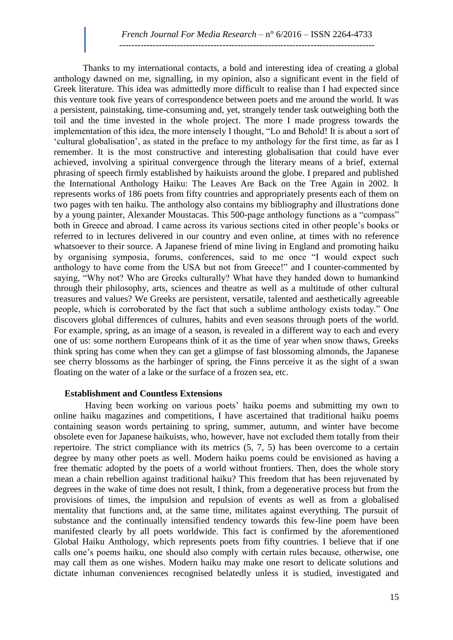Thanks to my international contacts, a bold and interesting idea of creating a global anthology dawned on me, signalling, in my opinion, also a significant event in the field of Greek literature. This idea was admittedly more difficult to realise than I had expected since this venture took five years of correspondence between poets and me around the world. It was a persistent, painstaking, time-consuming and, yet, strangely tender task outweighing both the toil and the time invested in the whole project. The more I made progress towards the implementation of this idea, the more intensely I thought, "Lo and Behold! It is about a sort of 'cultural globalisation', as stated in the preface to my anthology for the first time, as far as I remember. It is the most constructive and interesting globalisation that could have ever achieved, involving a spiritual convergence through the literary means of a brief, external phrasing of speech firmly established by haikuists around the globe. I prepared and published the International Anthology Haiku: The Leaves Are Back on the Tree Again in 2002. It represents works of 186 poets from fifty countries and appropriately presents each of them on two pages with ten haiku. The anthology also contains my bibliography and illustrations done by a young painter, Alexander Moustacas. This 500-page anthology functions as a "compass" both in Greece and abroad. I came across its various sections cited in other people's books or referred to in lectures delivered in our country and even online, at times with no reference whatsoever to their source. A Japanese friend of mine living in England and promoting haiku by organising symposia, forums, conferences, said to me once "I would expect such anthology to have come from the USA but not from Greece!" and I counter-commented by saying, "Why not? Who are Greeks culturally? What have they handed down to humankind through their philosophy, arts, sciences and theatre as well as a multitude of other cultural treasures and values? We Greeks are persistent, versatile, talented and aesthetically agreeable people, which is corroborated by the fact that such a sublime anthology exists today." One discovers global differences of cultures, habits and even seasons through poets of the world. For example, spring, as an image of a season, is revealed in a different way to each and every one of us: some northern Europeans think of it as the time of year when snow thaws, Greeks think spring has come when they can get a glimpse of fast blossoming almonds, the Japanese see cherry blossoms as the harbinger of spring, the Finns perceive it as the sight of a swan floating on the water of a lake or the surface of a frozen sea, etc.

#### **Establishment and Countless Extensions**

 Having been working on various poets' haiku poems and submitting my own to online haiku magazines and competitions, I have ascertained that traditional haiku poems containing season words pertaining to spring, summer, autumn, and winter have become obsolete even for Japanese haikuists, who, however, have not excluded them totally from their repertoire. The strict compliance with its metrics (5, 7, 5) has been overcome to a certain degree by many other poets as well. Modern haiku poems could be envisioned as having a free thematic adopted by the poets of a world without frontiers. Then, does the whole story mean a chain rebellion against traditional haiku? This freedom that has been rejuvenated by degrees in the wake of time does not result, I think, from a degenerative process but from the provisions of times, the impulsion and repulsion of events as well as from a globalised mentality that functions and, at the same time, militates against everything. The pursuit of substance and the continually intensified tendency towards this few-line poem have been manifested clearly by all poets worldwide. This fact is confirmed by the aforementioned Global Haiku Anthology, which represents poets from fifty countries. I believe that if one calls one's poems haiku, one should also comply with certain rules because, otherwise, one may call them as one wishes. Modern haiku may make one resort to delicate solutions and dictate inhuman conveniences recognised belatedly unless it is studied, investigated and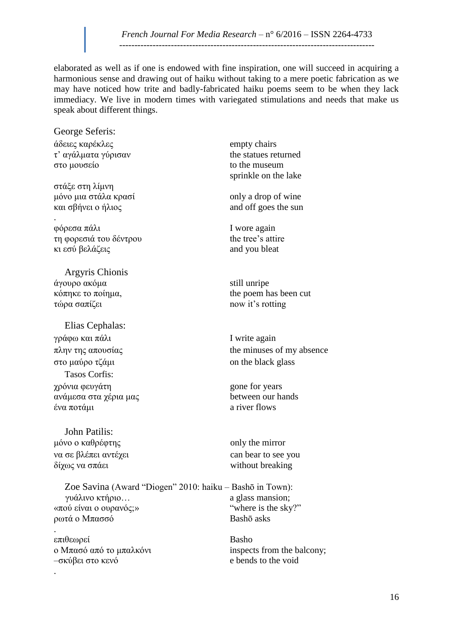elaborated as well as if one is endowed with fine inspiration, one will succeed in acquiring a harmonious sense and drawing out of haiku without taking to a mere poetic fabrication as we may have noticed how trite and badly-fabricated haiku poems seem to be when they lack immediacy. We live in modern times with variegated stimulations and needs that make us speak about different things.

George Seferis: άδειες καρέκλες empty chairs  $\tau'$  αγάλματα γύρισαν the statues returned στο μουσείο στο μεταποιείται το to the museum

στάξε στη λίμνη μόνο μια στάλα κρασί  $\qquad$  only a drop of wine και σβήνει ο ήλιος and off goes the sun

. φόρεσα πάλι I wore again τη φορεσιά του δέντρου the tree's attire κι εσύ βελάζεις and you bleat

Argyris Chionis άγουρο ακόμα still unripe τώρα σαπίζει  $\frac{1}{x}$  now it's rotting

Elias Cephalas: γράφω και πάλι  $I$  write again στο μαύρο τζάμι on the black glass Tasos Corfis: χρόνια φευγάτη<br>ανάμεσα στα γέρια μας<br>between our hands ανάμεσα στα γέρια μας ένα ποτάμι a river flows

John Patilis: μόνο ο καθρέφτης  $\omega$  only the mirror να σε βλέπει αντέχει can bear to see you<br>δίχως να σπάει can bear to see you

Zoe Savina (Award "Diogen" 2010: haiku – Bashō in Town): γυάλινο κτήριο...  $a$ glass mansion; «πού είναι ο ουρανός;» "where is the sky?" ρωτά ο Μπασσό Bashō asks

. επιθεωρεί Basho ο Μπασό από το μπαλκόνι inspects from the balcony; –σκύβει στο κενό e bends to the void

.

sprinkle on the lake

κόπηκε το ποίημα, the poem has been cut

πλην της απουσίας the minuses of my absence

without breaking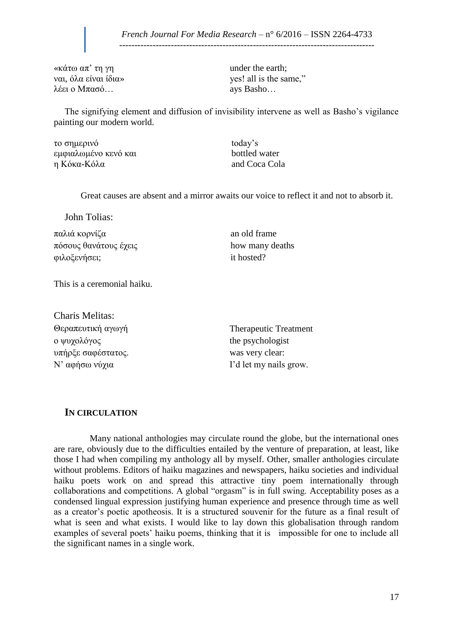------------------------------------------------------------------------------------

«κάτω απ' τη γη under the earth; λέει ο Μπασό… ays Basho…

ναι, όλα είναι ίδια»  $\gamma$  ves! all is the same,"

The signifying element and diffusion of invisibility intervene as well as Basho's vigilance painting our modern world.

το σημερινό today's εμφιαλωμένο κενό και bottled water η Κόκα-Κόλα and Coca Cola

Great causes are absent and a mirror awaits our voice to reflect it and not to absorb it.

John Tolias:

παλιά κορνίζα an old frame πόσους θανάτους έχεις how many deaths φιλοξενήσει; it hosted?

This is a ceremonial haiku.

Charis Melitas: Θεραπευτική αγωγή Therapeutic Treatment ο ψυχολόγος the psychologist υπήρξε σαφέστατος. was very clear:

N' αφήσω νύχια I'd let my nails grow.

### **IN CIRCULATION**

 Many national anthologies may circulate round the globe, but the international ones are rare, obviously due to the difficulties entailed by the venture of preparation, at least, like those I had when compiling my anthology all by myself. Other, smaller anthologies circulate without problems. Editors of haiku magazines and newspapers, haiku societies and individual haiku poets work on and spread this attractive tiny poem internationally through collaborations and competitions. A global "orgasm" is in full swing. Acceptability poses as a condensed lingual expression justifying human experience and presence through time as well as a creator's poetic apotheosis. It is a structured souvenir for the future as a final result of what is seen and what exists. I would like to lay down this globalisation through random examples of several poets' haiku poems, thinking that it is impossible for one to include all the significant names in a single work.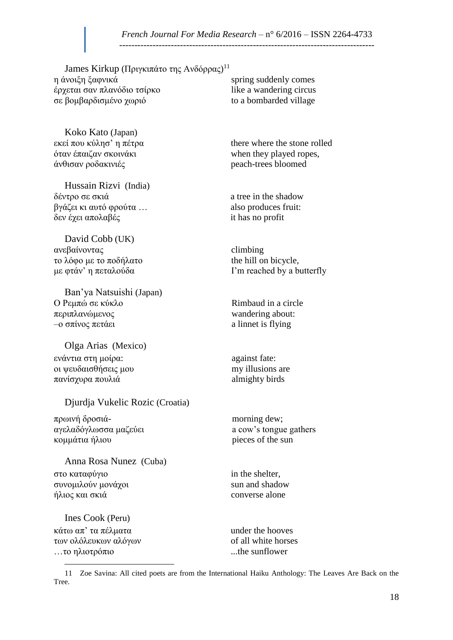James Kirkup (Πριγκιπάτο της Ανδόρρας)<sup>11</sup> η άνοιξη ξαφνικά spring suddenly comes έρχεται σαν πλανόδιο τσίρκο like a wandering circus σε βομβαρδισμένο χωριό to a bombarded village

Koko Kato (Japan) όταν έπαιζαν σκοινάκι when they played ropes,<br>
άνθισαν ροδακινιές *when they played ropes*, peach-trees bloomed άνθισαν ροδακινιές

Hussain Rizvi (India)  $δ$ έντρο σε σκιά a tree in the shadow βγάζει κι αυτό φρούτα … also produces fruit: δεν έχει απολαβές it has no profit

David Cobb (UK) ανεβαίνοντας climbing το λόφο με το ποδήλατο the hill on bicycle,

Ban'ya Natsuishi (Japan) Ο Ρεμπώ σε κύκλο Rimbaud in a circle περιπλανώμενος wandering about:  $\sim$  -ο σπίνος πετάει a linnet is flying

Olga Arias (Mexico) ενάντια στη μοίρα: against fate: οι ψευδαισθήσεις μου my illusions are πανίσχυρα πουλιά almighty birds

#### Djurdja Vukelic Rozic (Croatia)

πρωινή δροσιά- morning dew; αγελαδόγλωσσα μαζεύει a cow's tongue gathers κομμάτια ήλιου pieces of the sun

Anna Rosa Nunez (Cuba) στο καταφύγιο in the shelter, συνομιλούν μονάχοι sun and shadow  $ηλιος και σκιά$  converse alone

Ines Cook (Peru) κάτω απ' τα πέλματα under the hooves των ολόλευκων αλόγων of all white horses …το ηλιοτρόπιο ...the sunflower

 $\overline{a}$ 

εκεί που κύλησ' η πέτρα there where the stone rolled

με φτάν' η πεταλούδα I'm reached by a butterfly

<sup>11</sup> Zoe Savina: All cited poets are from the International Haiku Anthology: The Leaves Are Back on the Tree.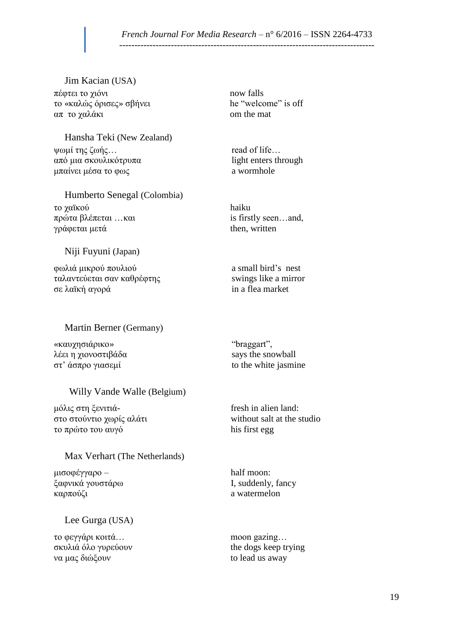#### *French Journal For Media Research* – n° 6/2016 – ISSN 2264-4733 ------------------------------------------------------------------------------------

Jim Kacian (USA) πέφτει το χιόνι now falls το «καλώς όρισες» σβήνει he "welcome" is off απ το χαλάκι om the mat

Hansha Teki (New Zealand) ψωμί της ζωής… read of life… από μια σκουλικότρυπα light enters through μπαίνει μέσα το φως  $a$  wormhole

Humberto Senegal (Colombia) το χαϊκού haiku πρώτα βλέπεται ... και is firstly seen... and, γράφεται μετά  $\eta$ 

#### Niji Fuyuni (Japan)

φωλιά μικρού πουλιού a small bird's nest ταλαντεύεται σαν καθρέφτης swings like a mirror σε λαϊκή αγορά in a flea market

#### Martin Berner (Germany)

«καυχησιάρικο» "braggart",  $\lambda$ έει η χιονοστιβάδα says the snowball στ' άσπρο γιασεμί to the white jasmine

#### Willy Vande Walle (Belgium)

μόλις στη ξενιτιά- fresh in alien land: στο στούντιο χωρίς αλάτι without salt at the studio το πρώτο του αυγό his first egg

#### Max Verhart (The Netherlands)

μισοφέγγαρο – half moon: ξαφνικά γουστάρω I, suddenly, fancy καρπούζι a watermelon

### Lee Gurga (USA)

το φεγγάρι κοιτά… moon gazing… σκυλιά όλο γυρεύουν the dogs keep trying να μας διώξουν to lead us away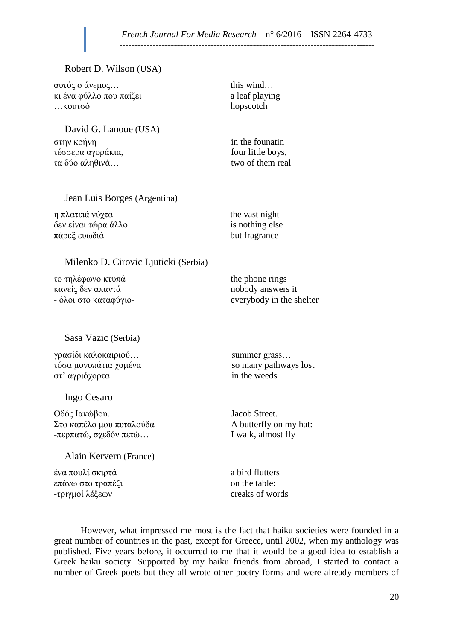------------------------------------------------------------------------------------

#### Robert D. Wilson (USA)

| αυτός ο άνεμος<br>κι ένα φύλλο που παίζει<br>κουτσό | this wind<br>a leaf playing<br>hopscotch |
|-----------------------------------------------------|------------------------------------------|
| David G. Lanoue (USA)<br>στην κρήνη                 | in the founatin                          |
| τέσσερα αγοράκια,<br>τα δύο αληθινά                 | four little boys,<br>two of them real    |
| Jean Luis Borges (Argentina)                        |                                          |
| η πλατειά νύχτα                                     | the vast night                           |
| δεν είναι τώρα άλλο                                 | is nothing else                          |
| πάρεξ ευωδιά                                        | but fragrance                            |
| Milenko D. Cirovic Ljuticki (Serbia)                |                                          |
| το τηλέφωνο κτυπά                                   | the phone rings                          |
| κανείς δεν απαντά                                   | nobody answers it                        |
| - όλοι στο καταφύγιο-                               | everybody in the shelter                 |
| Sasa Vazic (Serbia)                                 |                                          |
| γρασίδι καλοκαιριού                                 | summer grass                             |
| τόσα μονοπάτια χαμένα                               | so many pathways lost                    |
| στ' αγριόχορτα                                      | in the weeds                             |
| Ingo Cesaro                                         |                                          |
| Οδός Ιακώβου.                                       | Jacob Street.                            |
| Στο καπέλο μου πεταλούδα                            | A butterfly on my hat:                   |
| -περπατώ, σχεδόν πετώ                               | I walk, almost fly                       |
| Alain Kervern (France)                              |                                          |
| ένα πουλί σκιρτά                                    | a bird flutters                          |
| επάνω στο τραπέζι                                   | on the table:                            |
| -τριγμοί λέξεων                                     | creaks of words                          |

However, what impressed me most is the fact that haiku societies were founded in a great number of countries in the past, except for Greece, until 2002, when my anthology was published. Five years before, it occurred to me that it would be a good idea to establish a Greek haiku society. Supported by my haiku friends from abroad, I started to contact a number of Greek poets but they all wrote other poetry forms and were already members of